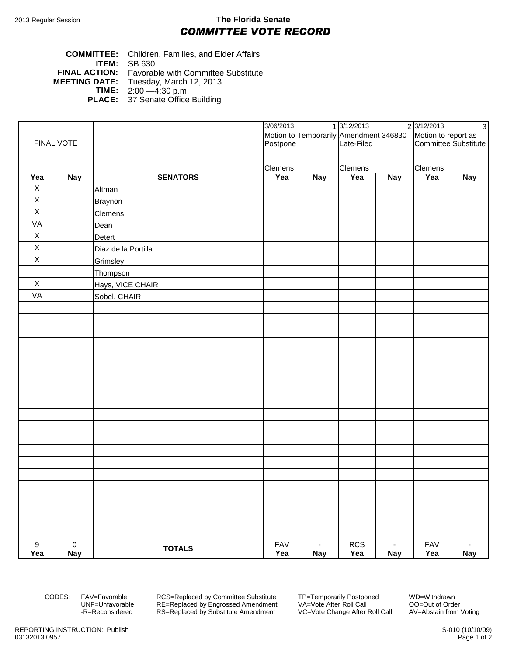## 2013 Regular Session **The Florida Senate** *COMMITTEE VOTE RECORD*

## **COMMITTEE:** Children, Families, and Elder Affairs **ITEM: SB 630**<br>**FINAL ACTION:** Favorat **FINAL ACTION:** Favorable with Committee Substitute<br>**MEETING DATE:** Tuesday, March 12, 2013 **DATE:** Tuesday, March 12, 2013<br>**TIME:** 2:00 - 4:30 p.m. **TIME:** 2:00 —4:30 p.m. **PLACE:** 37 Senate Office Building

|                    |             |                     | 3/06/2013<br>Motion to Temporarily Amendment 346830 |            | 1 3/12/2013 |                  | 2 3/12/2013          | $\overline{3}$ |
|--------------------|-------------|---------------------|-----------------------------------------------------|------------|-------------|------------------|----------------------|----------------|
|                    |             |                     |                                                     |            |             |                  | Motion to report as  |                |
| FINAL VOTE         |             |                     | Postpone                                            |            | Late-Filed  |                  | Committee Substitute |                |
|                    |             |                     |                                                     |            |             |                  |                      |                |
|                    |             |                     | Clemens                                             |            | Clemens     |                  | Clemens              |                |
| Yea<br>$\mathsf X$ | <b>Nay</b>  | <b>SENATORS</b>     | Yea                                                 | <b>Nay</b> | Yea         | <b>Nay</b>       | Yea                  | <b>Nay</b>     |
| $\mathsf X$        |             | Altman              |                                                     |            |             |                  |                      |                |
| $\mathsf X$        |             | <b>Braynon</b>      |                                                     |            |             |                  |                      |                |
| VA                 |             | Clemens             |                                                     |            |             |                  |                      |                |
| $\mathsf X$        |             | Dean                |                                                     |            |             |                  |                      |                |
|                    |             | Detert              |                                                     |            |             |                  |                      |                |
| $\mathsf X$        |             | Diaz de la Portilla |                                                     |            |             |                  |                      |                |
| $\mathsf X$        |             | Grimsley            |                                                     |            |             |                  |                      |                |
|                    |             | Thompson            |                                                     |            |             |                  |                      |                |
| $\mathsf X$        |             | Hays, VICE CHAIR    |                                                     |            |             |                  |                      |                |
| VA                 |             | Sobel, CHAIR        |                                                     |            |             |                  |                      |                |
|                    |             |                     |                                                     |            |             |                  |                      |                |
|                    |             |                     |                                                     |            |             |                  |                      |                |
|                    |             |                     |                                                     |            |             |                  |                      |                |
|                    |             |                     |                                                     |            |             |                  |                      |                |
|                    |             |                     |                                                     |            |             |                  |                      |                |
|                    |             |                     |                                                     |            |             |                  |                      |                |
|                    |             |                     |                                                     |            |             |                  |                      |                |
|                    |             |                     |                                                     |            |             |                  |                      |                |
|                    |             |                     |                                                     |            |             |                  |                      |                |
|                    |             |                     |                                                     |            |             |                  |                      |                |
|                    |             |                     |                                                     |            |             |                  |                      |                |
|                    |             |                     |                                                     |            |             |                  |                      |                |
|                    |             |                     |                                                     |            |             |                  |                      |                |
|                    |             |                     |                                                     |            |             |                  |                      |                |
|                    |             |                     |                                                     |            |             |                  |                      |                |
|                    |             |                     |                                                     |            |             |                  |                      |                |
|                    |             |                     |                                                     |            |             |                  |                      |                |
|                    |             |                     |                                                     |            |             |                  |                      |                |
|                    |             |                     |                                                     |            |             |                  |                      |                |
|                    |             |                     |                                                     |            |             |                  |                      |                |
| $\overline{9}$     | $\mathbf 0$ | <b>TOTALS</b>       | <b>FAV</b>                                          | $\sim$     | <b>RCS</b>  | $\sim$           | <b>FAV</b>           | $\sim$         |
| Yea                | <b>Nay</b>  |                     | Yea                                                 | <b>Nay</b> | Yea         | $\overline{Nay}$ | Yea                  | <b>Nay</b>     |

CODES: FAV=Favorable RCS=Replaced by Committee Substitute TP=Temporarily Postponed WD=Withdrawn<br>UNF=Unfavorable RE=Replaced by Engrossed Amendment VA=Vote After Roll Call CO=Out of Order RE=Replaced by Engrossed Amendment -R=Reconsidered RS=Replaced by Substitute Amendment VC=Vote Change After Roll Call AV=Abstain from Voting